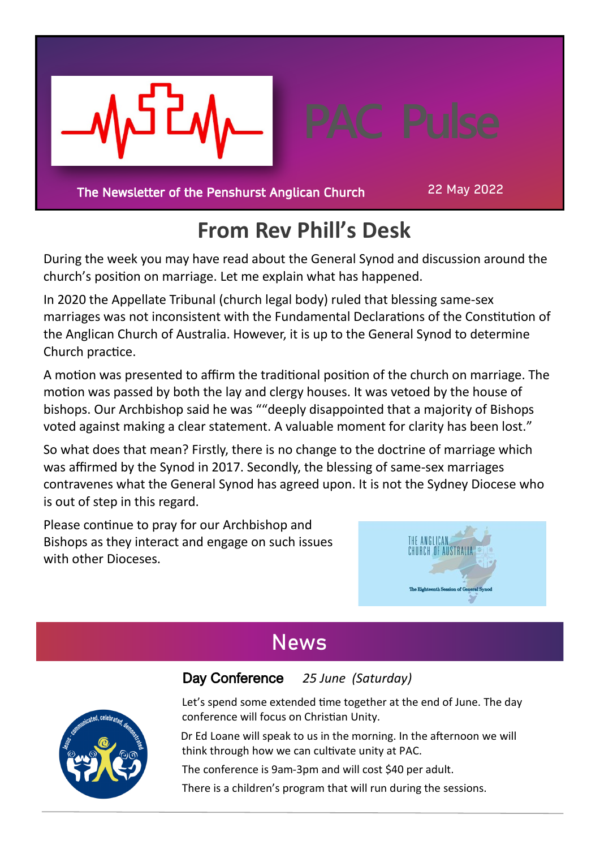

The Newsletter of the Penshurst Anglican Church

22 May 2022

# **From Rev Phill's Desk**

During the week you may have read about the General Synod and discussion around the church's position on marriage. Let me explain what has happened.

In 2020 the Appellate Tribunal (church legal body) ruled that blessing same-sex marriages was not inconsistent with the Fundamental Declarations of the Constitution of the Anglican Church of Australia. However, it is up to the General Synod to determine Church practice.

A motion was presented to affirm the traditional position of the church on marriage. The motion was passed by both the lay and clergy houses. It was vetoed by the house of bishops. Our Archbishop said he was ""deeply disappointed that a majority of Bishops voted against making a clear statement. A valuable moment for clarity has been lost."

So what does that mean? Firstly, there is no change to the doctrine of marriage which was affirmed by the Synod in 2017. Secondly, the blessing of same-sex marriages contravenes what the General Synod has agreed upon. It is not the Sydney Diocese who is out of step in this regard.

Please continue to pray for our Archbishop and Bishops as they interact and engage on such issues with other Dioceses.



# **News**

Day Conference *25 June (Saturday)*

Let's spend some extended time together at the end of June. The day conference will focus on Christian Unity.

 Dr Ed Loane will speak to us in the morning. In the afternoon we will think through how we can cultivate unity at PAC.

The conference is 9am-3pm and will cost \$40 per adult.

There is a children's program that will run during the sessions.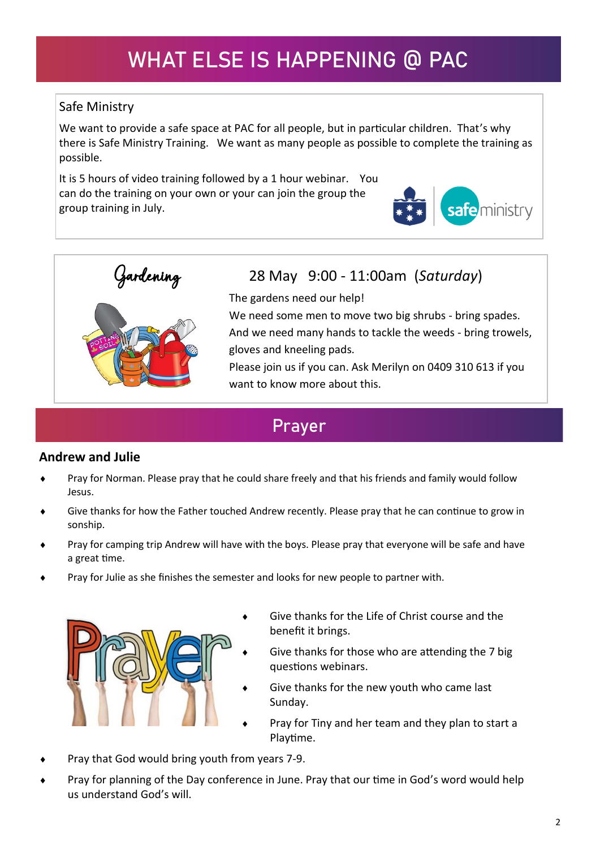# **WHAT ELSE IS HAPPENING @ PAC**

### Safe Ministry

We want to provide a safe space at PAC for all people, but in particular children. That's why there is Safe Ministry Training. We want as many people as possible to complete the training as possible.

It is 5 hours of video training followed by a 1 hour webinar. You can do the training on your own or your can join the group the group training in July.





# ardening 28 May 9:00 - 11:00am (*Saturday*)<br>The gardens need our help!

The gardens need our help!

We need some men to move two big shrubs - bring spades.

And we need many hands to tackle the weeds - bring trowels, gloves and kneeling pads.

Please join us if you can. Ask Merilyn on 0409 310 613 if you want to know more about this.

### **Prayer**

### **Andrew and Julie**

- Pray for Norman. Please pray that he could share freely and that his friends and family would follow Jesus.
- Give thanks for how the Father touched Andrew recently. Please pray that he can continue to grow in sonship.
- Pray for camping trip Andrew will have with the boys. Please pray that everyone will be safe and have a great time.
- Pray for Julie as she finishes the semester and looks for new people to partner with.



- Give thanks for the Life of Christ course and the benefit it brings.
- Give thanks for those who are attending the 7 big questions webinars.
- Give thanks for the new youth who came last Sunday.
- Pray for Tiny and her team and they plan to start a Playtime.
- Pray that God would bring youth from years 7-9.
- Pray for planning of the Day conference in June. Pray that our time in God's word would help us understand God's will.